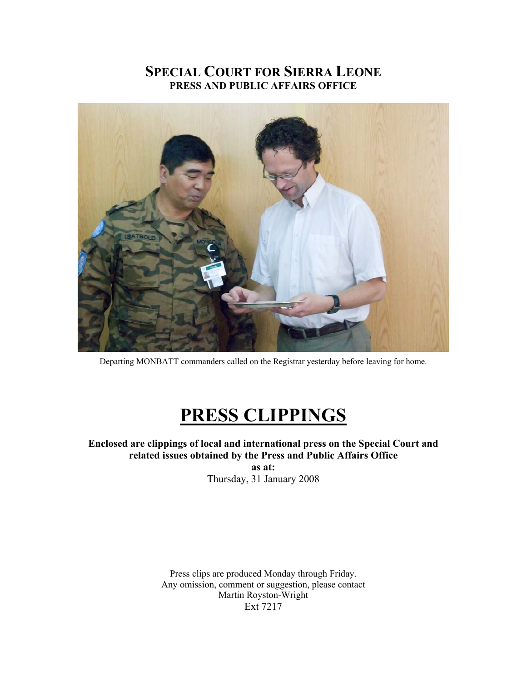## **SPECIAL COURT FOR SIERRA LEONE PRESS AND PUBLIC AFFAIRS OFFICE**



Departing MONBATT commanders called on the Registrar yesterday before leaving for home.

# **PRESS CLIPPINGS**

### **Enclosed are clippings of local and international press on the Special Court and related issues obtained by the Press and Public Affairs Office**

**as at:**  Thursday, 31 January 2008

Press clips are produced Monday through Friday. Any omission, comment or suggestion, please contact Martin Royston-Wright Ext 7217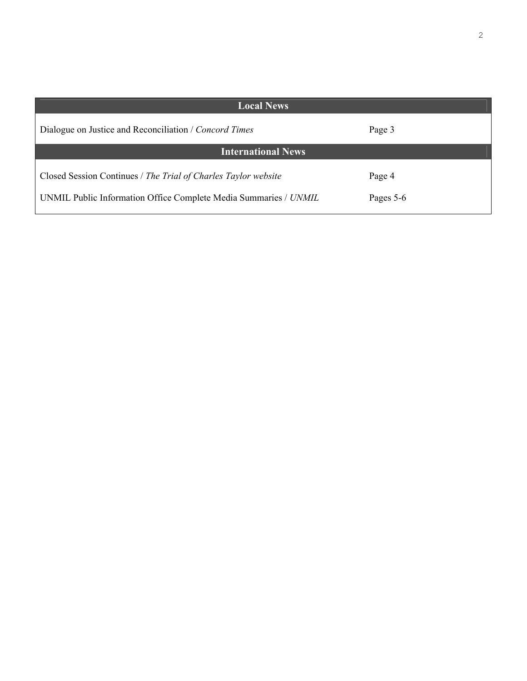| <b>Local News</b>                                                                                                                  |                     |
|------------------------------------------------------------------------------------------------------------------------------------|---------------------|
| Dialogue on Justice and Reconciliation / Concord Times                                                                             | Page 3              |
| <b>International News</b>                                                                                                          |                     |
| Closed Session Continues / The Trial of Charles Taylor website<br>UNMIL Public Information Office Complete Media Summaries / UNMIL | Page 4<br>Pages 5-6 |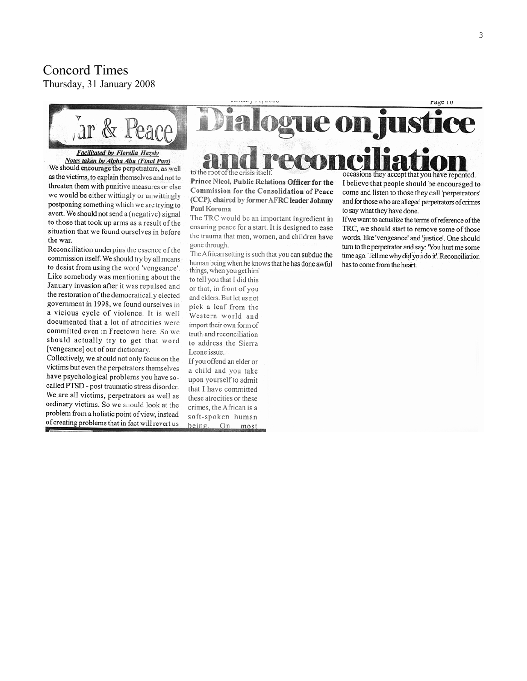## **Concord Times**

Thursday, 31 January 2008



#### **Facilitated by Florella Hazely** Notes taken by Alpha Abu (Final Part)

We should encourage the perpetrators, as well as the victims, to explain themselves and not to threaten them with punitive measures or else we would be either wittingly or unwittingly postponing something which we are trying to avert. We should not send a (negative) signal to those that took up arms as a result of the situation that we found ourselves in before the war.

Reconciliation underpins the essence of the commission itself. We should try by all means to desist from using the word 'vengeance'. Like somebody was mentioning about the January invasion after it was repulsed and the restoration of the democratically elected government in 1998, we found ourselves in a vicious cycle of violence. It is well documented that a lot of atrocities were committed even in Freetown here. So we should actually try to get that word [vengeance] out of our dictionary.

Collectively, we should not only focus on the victims but even the perpetrators themselves have psychological problems you have socalled PTSD - post traumatic stress disorder. We are all victims, perpetrators as well as ordinary victims. So we should look at the problem from a holistic point of view, instead of creating problems that in fact will revert us

ogue on justice

to the root of the crisis itself Prince Nicol, Public Relations Officer for the Commission for the Consolidation of Peace (CCP), chaired by former AFRC leader Johnny Paul Koroma

The TRC would be an important ingredient in ensuring peace for a start. It is designed to ease the trauma that men, women, and children have gone through.

The African setting is such that you can subdue the human being when he knows that he has done awful things, when you get him'

to tell you that I did this or that, in front of you and elders. But let us not pick a leaf from the Western world and import their own form of truth and reconciliation to address the Sierra Leone issue.

If you offend an elder or a child and you take upon yourself to admit that I have committed these atrocities or these crimes, the African is a soft-spoken human being. On most

occasions they accept that you have repented. I believe that people should be encouraged to come and listen to those they call 'perpetrators' and for those who are alleged perpetrators of crimes to say what they have done.

rage 10

If we want to actualize the terms of reference of the TRC, we should start to remove some of those words, like 'vengeance' and 'justice'. One should turn to the perpetrator and say: 'You hurt me some time ago. Tell me why did you do it'. Reconciliation has to come from the heart.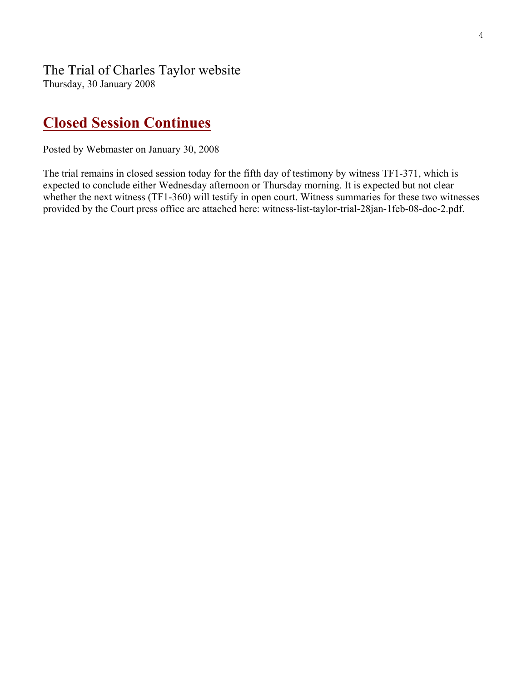## **Closed Session Continues**

Posted by Webmaster on January 30, 2008

The trial remains in closed session today for the fifth day of testimony by witness TF1-371, which is expected to conclude either Wednesday afternoon or Thursday morning. It is expected but not clear whether the next witness (TF1-360) will testify in open court. Witness summaries for these two witnesses provided by the Court press office are attached here: witness-list-taylor-trial-28jan-1feb-08-doc-2.pdf.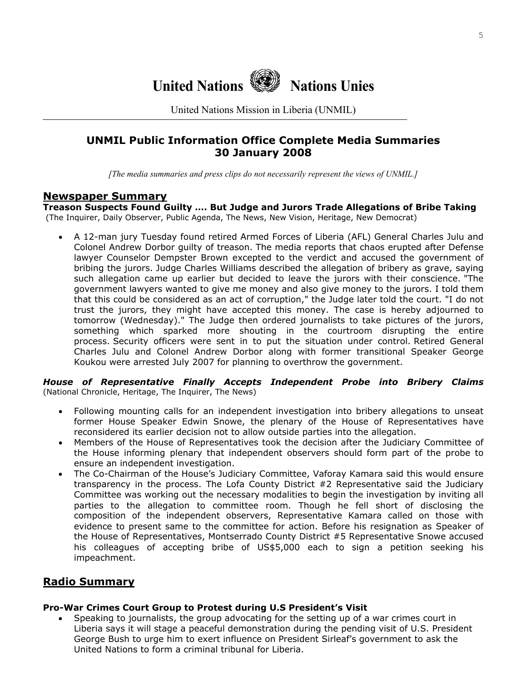

United Nations Mission in Liberia (UNMIL)

## **UNMIL Public Information Office Complete Media Summaries 30 January 2008**

*[The media summaries and press clips do not necessarily represent the views of UNMIL.]*

#### **Newspaper Summary**

**Treason Suspects Found Guilty …. But Judge and Jurors Trade Allegations of Bribe Taking**  (The Inquirer, Daily Observer, Public Agenda, The News, New Vision, Heritage, New Democrat)

• A 12-man jury Tuesday found retired Armed Forces of Liberia (AFL) General Charles Julu and Colonel Andrew Dorbor guilty of treason. The media reports that chaos erupted after Defense lawyer Counselor Dempster Brown excepted to the verdict and accused the government of bribing the jurors. Judge Charles Williams described the allegation of bribery as grave, saying such allegation came up earlier but decided to leave the jurors with their conscience. "The government lawyers wanted to give me money and also give money to the jurors. I told them that this could be considered as an act of corruption," the Judge later told the court. "I do not trust the jurors, they might have accepted this money. The case is hereby adjourned to tomorrow (Wednesday)." The Judge then ordered journalists to take pictures of the jurors, something which sparked more shouting in the courtroom disrupting the entire process. Security officers were sent in to put the situation under control. Retired General Charles Julu and Colonel Andrew Dorbor along with former transitional Speaker George Koukou were arrested July 2007 for planning to overthrow the government.

#### *House of Representative Finally Accepts Independent Probe into Bribery Claims* (National Chronicle, Heritage, The Inquirer, The News)

- Following mounting calls for an independent investigation into bribery allegations to unseat former House Speaker Edwin Snowe, the plenary of the House of Representatives have reconsidered its earlier decision not to allow outside parties into the allegation.
- Members of the House of Representatives took the decision after the Judiciary Committee of the House informing plenary that independent observers should form part of the probe to ensure an independent investigation.
- The Co-Chairman of the House's Judiciary Committee, Vaforay Kamara said this would ensure transparency in the process. The Lofa County District #2 Representative said the Judiciary Committee was working out the necessary modalities to begin the investigation by inviting all parties to the allegation to committee room. Though he fell short of disclosing the composition of the independent observers, Representative Kamara called on those with evidence to present same to the committee for action. Before his resignation as Speaker of the House of Representatives, Montserrado County District #5 Representative Snowe accused his colleagues of accepting bribe of US\$5,000 each to sign a petition seeking his impeachment.

## **Radio Summary**

#### **Pro-War Crimes Court Group to Protest during U.S President's Visit**

• Speaking to journalists, the group advocating for the setting up of a war crimes court in Liberia says it will stage a peaceful demonstration during the pending visit of U.S. President George Bush to urge him to exert influence on President Sirleaf's government to ask the United Nations to form a criminal tribunal for Liberia.